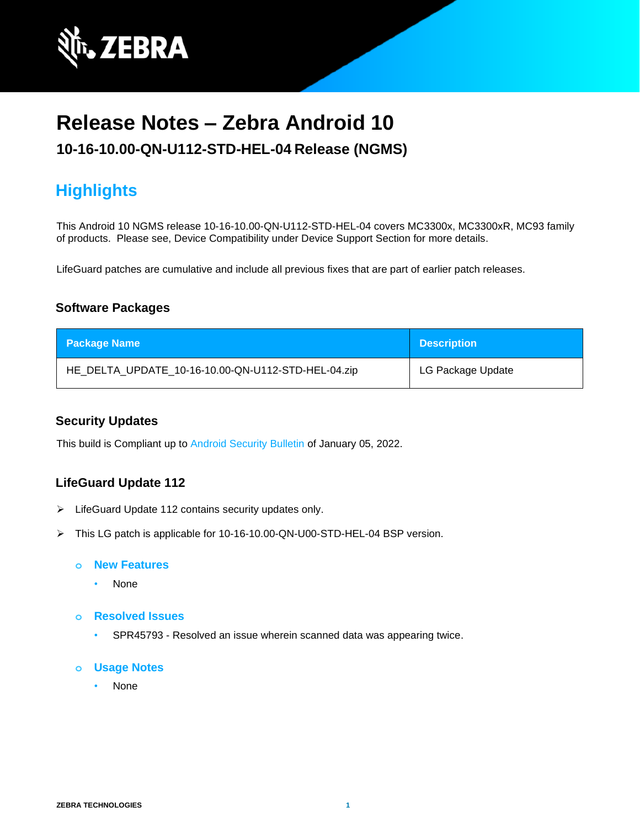

# **Release Notes – Zebra Android 10**

# **10-16-10.00-QN-U112-STD-HEL-04 Release (NGMS)**

# **Highlights**

This Android 10 NGMS release 10-16-10.00-QN-U112-STD-HEL-04 covers MC3300x, MC3300xR, MC93 family of products. Please see, Device Compatibility under Device Support Section for more details.

LifeGuard patches are cumulative and include all previous fixes that are part of earlier patch releases.

# **Software Packages**

| <b>Package Name</b>                                | <b>Description</b> |
|----------------------------------------------------|--------------------|
| HE DELTA UPDATE 10-16-10.00-QN-U112-STD-HEL-04.zip | LG Package Update  |

# **Security Updates**

This build is Compliant up to [Android Security Bulletin](https://source.android.com/security/bulletin/) of January 05, 2022.

# **LifeGuard Update 112**

- ➢ LifeGuard Update 112 contains security updates only.
- ➢ This LG patch is applicable for 10-16-10.00-QN-U00-STD-HEL-04 BSP version.
	- **o New Features**
		- None
	- **o Resolved Issues**
		- SPR45793 Resolved an issue wherein scanned data was appearing twice.
	- **o Usage Notes**
		- None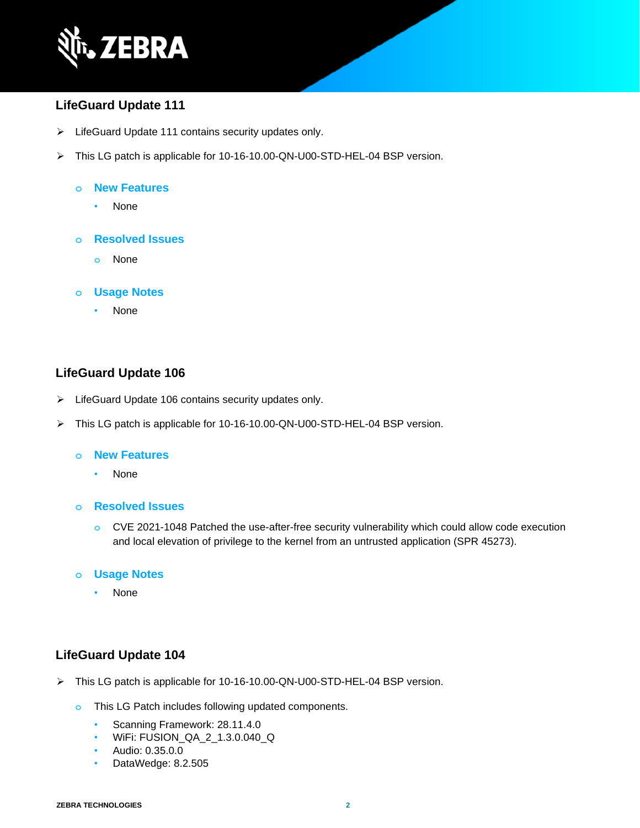

# **LifeGuard Update 111**

- ➢ LifeGuard Update 111 contains security updates only.
- ➢ This LG patch is applicable for 10-16-10.00-QN-U00-STD-HEL-04 BSP version.

#### **o New Features**

• None

#### **o Resolved Issues**

**o** None

#### **o Usage Notes**

• None

#### **LifeGuard Update 106**

- ➢ LifeGuard Update 106 contains security updates only.
- ➢ This LG patch is applicable for 10-16-10.00-QN-U00-STD-HEL-04 BSP version.

#### **o New Features**

• None

#### **o Resolved Issues**

**o** CVE 2021-1048 Patched the use-after-free security vulnerability which could allow code execution and local elevation of privilege to the kernel from an untrusted application (SPR 45273).

#### **o Usage Notes**

• None

# **LifeGuard Update 104**

- ➢ This LG patch is applicable for 10-16-10.00-QN-U00-STD-HEL-04 BSP version.
	- **o** This LG Patch includes following updated components.
		- Scanning Framework: 28.11.4.0
		- WiFi: FUSION\_QA\_2\_1.3.0.040\_Q
		- Audio: 0.35.0.0
		- DataWedge: 8.2.505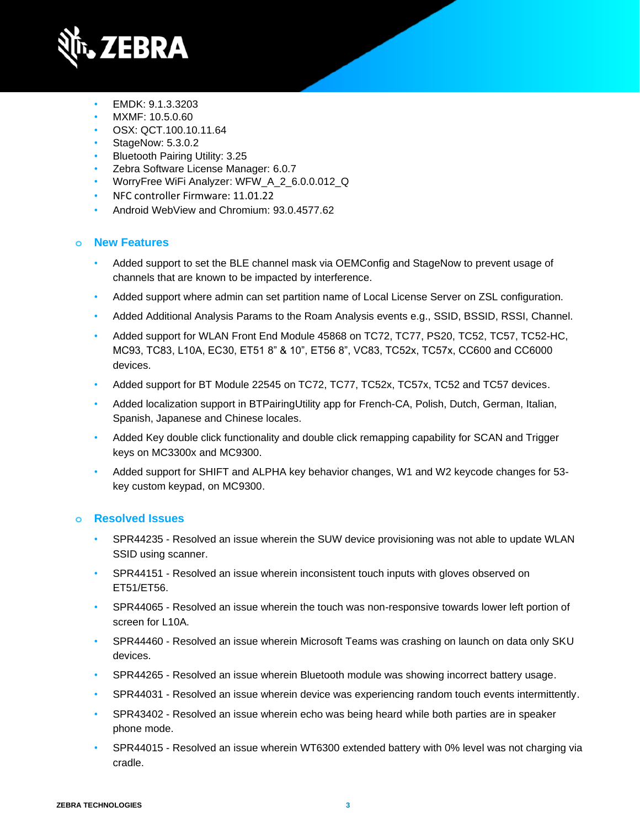

- EMDK: 9.1.3.3203
- MXMF: 10.5.0.60
- OSX: QCT.100.10.11.64
- StageNow: 5.3.0.2
- Bluetooth Pairing Utility: 3.25
- Zebra Software License Manager: 6.0.7
- WorryFree WiFi Analyzer: WFW\_A\_2\_6.0.0.012\_Q
- NFC controller Firmware: 11.01.22
- Android WebView and Chromium: 93.0.4577.62

# **o New Features**

- Added support to set the BLE channel mask via OEMConfig and StageNow to prevent usage of channels that are known to be impacted by interference.
- Added support where admin can set partition name of Local License Server on ZSL configuration.
- Added Additional Analysis Params to the Roam Analysis events e.g., SSID, BSSID, RSSI, Channel.
- Added support for WLAN Front End Module 45868 on TC72, TC77, PS20, TC52, TC57, TC52-HC, MC93, TC83, L10A, EC30, ET51 8" & 10", ET56 8", VC83, TC52x, TC57x, CC600 and CC6000 devices.
- Added support for BT Module 22545 on TC72, TC77, TC52x, TC57x, TC52 and TC57 devices.
- Added localization support in BTPairingUtility app for French-CA, Polish, Dutch, German, Italian, Spanish, Japanese and Chinese locales.
- Added Key double click functionality and double click remapping capability for SCAN and Trigger keys on MC3300x and MC9300.
- Added support for SHIFT and ALPHA key behavior changes, W1 and W2 keycode changes for 53 key custom keypad, on MC9300.

# **o Resolved Issues**

- SPR44235 Resolved an issue wherein the SUW device provisioning was not able to update WLAN SSID using scanner.
- SPR44151 Resolved an issue wherein inconsistent touch inputs with gloves observed on ET51/ET56.
- SPR44065 Resolved an issue wherein the touch was non-responsive towards lower left portion of screen for L10A.
- SPR44460 Resolved an issue wherein Microsoft Teams was crashing on launch on data only SKU devices.
- SPR44265 Resolved an issue wherein Bluetooth module was showing incorrect battery usage.
- SPR44031 Resolved an issue wherein device was experiencing random touch events intermittently.
- SPR43402 Resolved an issue wherein echo was being heard while both parties are in speaker phone mode.
- SPR44015 Resolved an issue wherein WT6300 extended battery with 0% level was not charging via cradle.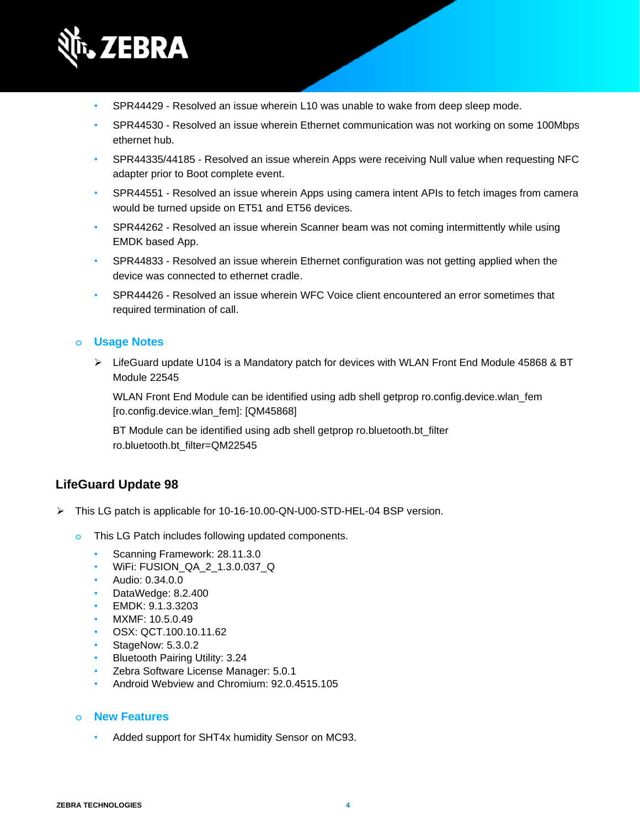

- SPR44429 Resolved an issue wherein L10 was unable to wake from deep sleep mode.
- SPR44530 Resolved an issue wherein Ethernet communication was not working on some 100Mbps ethernet hub.
- SPR44335/44185 Resolved an issue wherein Apps were receiving Null value when requesting NFC adapter prior to Boot complete event.
- SPR44551 Resolved an issue wherein Apps using camera intent APIs to fetch images from camera would be turned upside on ET51 and ET56 devices.
- SPR44262 Resolved an issue wherein Scanner beam was not coming intermittently while using EMDK based App.
- SPR44833 Resolved an issue wherein Ethernet configuration was not getting applied when the device was connected to ethernet cradle.
- SPR44426 Resolved an issue wherein WFC Voice client encountered an error sometimes that required termination of call.

# **o Usage Notes**

➢ LifeGuard update U104 is a Mandatory patch for devices with WLAN Front End Module 45868 & BT Module 22545

WLAN Front End Module can be identified using adb shell getprop ro.config.device.wlan\_fem [ro.config.device.wlan\_fem]: [QM45868]

BT Module can be identified using adb shell getprop ro.bluetooth.bt\_filter ro.bluetooth.bt\_filter=QM22545

# **LifeGuard Update 98**

- ➢ This LG patch is applicable for 10-16-10.00-QN-U00-STD-HEL-04 BSP version.
	- **o** This LG Patch includes following updated components.
		- Scanning Framework: 28.11.3.0
		- WiFi: FUSION\_QA\_2\_1.3.0.037\_Q
		- Audio: 0.34.0.0
		- DataWedge: 8.2.400
		- EMDK: 9.1.3.3203
		- MXMF: 10.5.0.49
		- OSX: QCT.100.10.11.62
		- StageNow: 5.3.0.2
		- Bluetooth Pairing Utility: 3.24
		- Zebra Software License Manager: 5.0.1
		- Android Webview and Chromium: 92.0.4515.105

# **o New Features**

Added support for SHT4x humidity Sensor on MC93.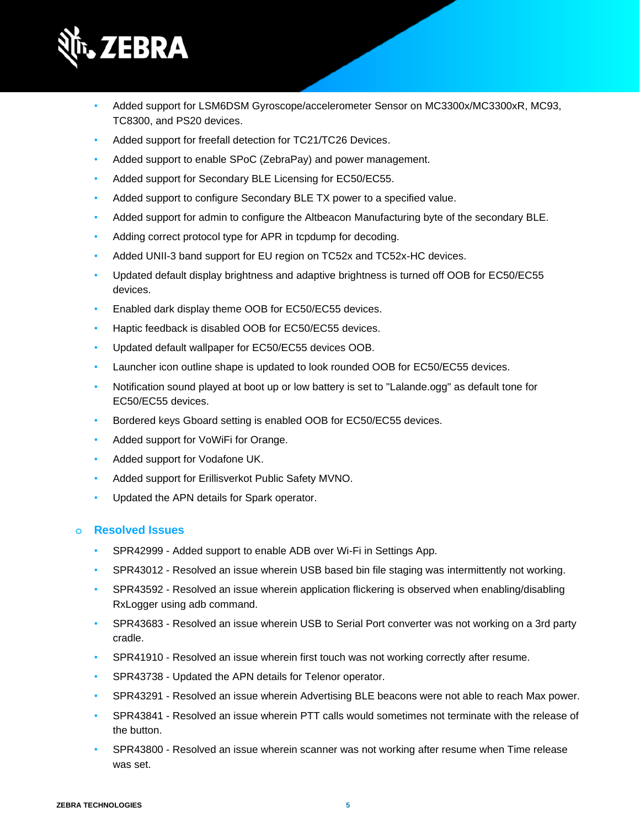

- Added support for LSM6DSM Gyroscope/accelerometer Sensor on MC3300x/MC3300xR, MC93, TC8300, and PS20 devices.
- Added support for freefall detection for TC21/TC26 Devices.
- Added support to enable SPoC (ZebraPay) and power management.
- Added support for Secondary BLE Licensing for EC50/EC55.
- Added support to configure Secondary BLE TX power to a specified value.
- Added support for admin to configure the Altbeacon Manufacturing byte of the secondary BLE.
- Adding correct protocol type for APR in tcpdump for decoding.
- Added UNII-3 band support for EU region on TC52x and TC52x-HC devices.
- Updated default display brightness and adaptive brightness is turned off OOB for EC50/EC55 devices.
- Enabled dark display theme OOB for EC50/EC55 devices.
- Haptic feedback is disabled OOB for EC50/EC55 devices.
- Updated default wallpaper for EC50/EC55 devices OOB.
- Launcher icon outline shape is updated to look rounded OOB for EC50/EC55 devices.
- Notification sound played at boot up or low battery is set to "Lalande.ogg" as default tone for EC50/EC55 devices.
- Bordered keys Gboard setting is enabled OOB for EC50/EC55 devices.
- Added support for VoWiFi for Orange.
- Added support for Vodafone UK.
- Added support for Erillisverkot Public Safety MVNO.
- Updated the APN details for Spark operator.

#### **o Resolved Issues**

- SPR42999 Added support to enable ADB over Wi-Fi in Settings App.
- SPR43012 Resolved an issue wherein USB based bin file staging was intermittently not working.
- SPR43592 Resolved an issue wherein application flickering is observed when enabling/disabling RxLogger using adb command.
- SPR43683 Resolved an issue wherein USB to Serial Port converter was not working on a 3rd party cradle.
- SPR41910 Resolved an issue wherein first touch was not working correctly after resume.
- SPR43738 Updated the APN details for Telenor operator.
- SPR43291 Resolved an issue wherein Advertising BLE beacons were not able to reach Max power.
- SPR43841 Resolved an issue wherein PTT calls would sometimes not terminate with the release of the button.
- SPR43800 Resolved an issue wherein scanner was not working after resume when Time release was set.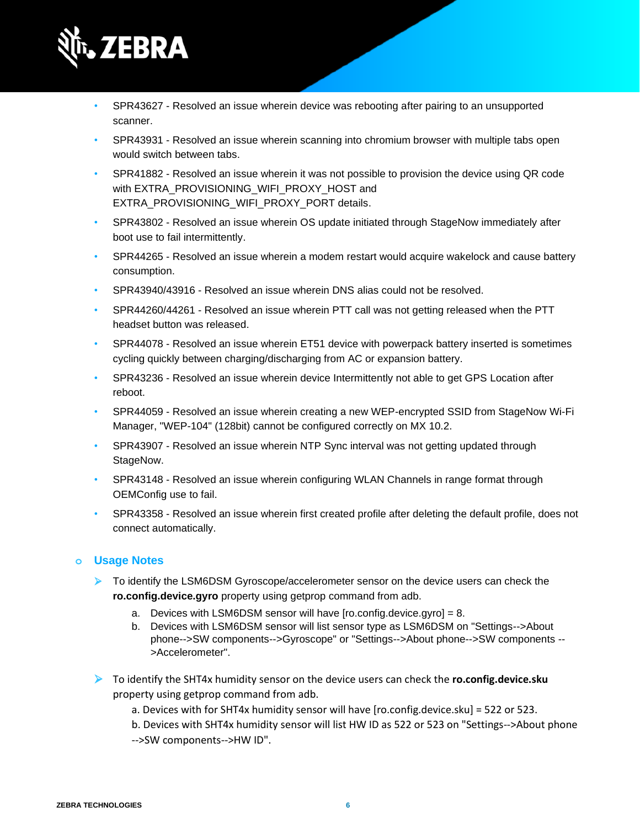

- SPR43627 Resolved an issue wherein device was rebooting after pairing to an unsupported scanner.
- SPR43931 Resolved an issue wherein scanning into chromium browser with multiple tabs open would switch between tabs.
- SPR41882 Resolved an issue wherein it was not possible to provision the device using QR code with EXTRA\_PROVISIONING\_WIFI\_PROXY\_HOST and EXTRA\_PROVISIONING\_WIFI\_PROXY\_PORT details.
- SPR43802 Resolved an issue wherein OS update initiated through StageNow immediately after boot use to fail intermittently.
- SPR44265 Resolved an issue wherein a modem restart would acquire wakelock and cause battery consumption.
- SPR43940/43916 Resolved an issue wherein DNS alias could not be resolved.
- SPR44260/44261 Resolved an issue wherein PTT call was not getting released when the PTT headset button was released.
- SPR44078 Resolved an issue wherein ET51 device with powerpack battery inserted is sometimes cycling quickly between charging/discharging from AC or expansion battery.
- SPR43236 Resolved an issue wherein device Intermittently not able to get GPS Location after reboot.
- SPR44059 Resolved an issue wherein creating a new WEP-encrypted SSID from StageNow Wi-Fi Manager, "WEP-104" (128bit) cannot be configured correctly on MX 10.2.
- SPR43907 Resolved an issue wherein NTP Sync interval was not getting updated through StageNow.
- SPR43148 Resolved an issue wherein configuring WLAN Channels in range format through OEMConfig use to fail.
- SPR43358 Resolved an issue wherein first created profile after deleting the default profile, does not connect automatically.

# **o Usage Notes**

- ➢ To identify the LSM6DSM Gyroscope/accelerometer sensor on the device users can check the **ro.config.device.gyro** property using getprop command from adb.
	- a. Devices with LSM6DSM sensor will have [ro.config.device.gyro] = 8.
	- b. Devices with LSM6DSM sensor will list sensor type as LSM6DSM on "Settings-->About phone-->SW components-->Gyroscope" or "Settings-->About phone-->SW components -- >Accelerometer".
- ➢ To identify the SHT4x humidity sensor on the device users can check the **ro.config.device.sku** property using getprop command from adb.
	- a. Devices with for SHT4x humidity sensor will have [ro.config.device.sku] = 522 or 523.
	- b. Devices with SHT4x humidity sensor will list HW ID as 522 or 523 on "Settings-->About phone -->SW components-->HW ID".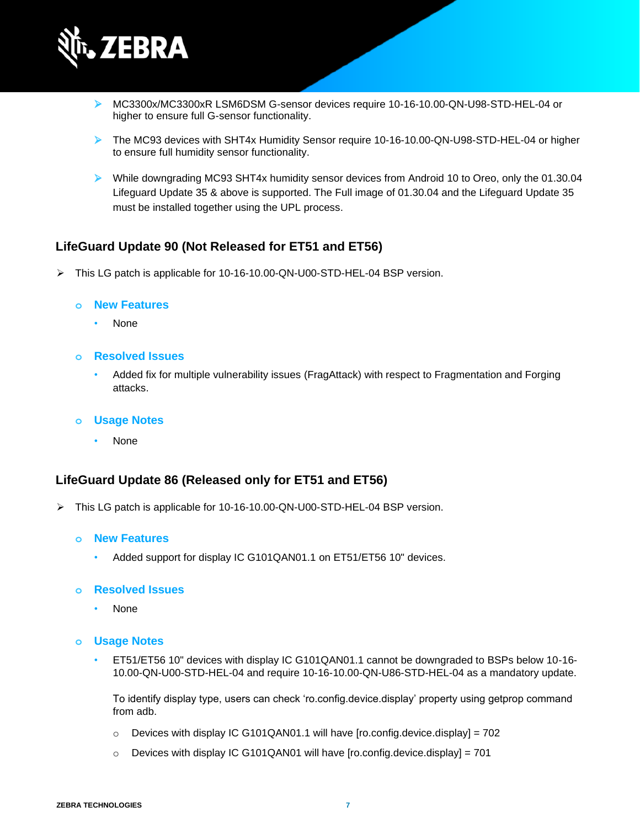

- ➢ MC3300x/MC3300xR LSM6DSM G-sensor devices require 10-16-10.00-QN-U98-STD-HEL-04 or higher to ensure full G-sensor functionality.
- ➢ The MC93 devices with SHT4x Humidity Sensor require 10-16-10.00-QN-U98-STD-HEL-04 or higher to ensure full humidity sensor functionality.
- ➢ While downgrading MC93 SHT4x humidity sensor devices from Android 10 to Oreo, only the 01.30.04 Lifeguard Update 35 & above is supported. The Full image of 01.30.04 and the Lifeguard Update 35 must be installed together using the UPL process.

### **LifeGuard Update 90 (Not Released for ET51 and ET56)**

➢ This LG patch is applicable for 10-16-10.00-QN-U00-STD-HEL-04 BSP version.

#### **o New Features**

- None
- **o Resolved Issues**
	- Added fix for multiple vulnerability issues (FragAttack) with respect to Fragmentation and Forging attacks.
- **o Usage Notes**
	- None

#### **LifeGuard Update 86 (Released only for ET51 and ET56)**

- ➢ This LG patch is applicable for 10-16-10.00-QN-U00-STD-HEL-04 BSP version.
	- **o New Features**
		- Added support for display IC G101QAN01.1 on ET51/ET56 10" devices.
	- **o Resolved Issues**
		- None
	- **o Usage Notes**
		- ET51/ET56 10" devices with display IC G101QAN01.1 cannot be downgraded to BSPs below 10-16- 10.00-QN-U00-STD-HEL-04 and require 10-16-10.00-QN-U86-STD-HEL-04 as a mandatory update.

To identify display type, users can check 'ro.config.device.display' property using getprop command from adb.

- $\circ$  Devices with display IC G101QAN01.1 will have [ro.config.device.display] = 702
- o Devices with display IC G101QAN01 will have [ro.config.device.display] = 701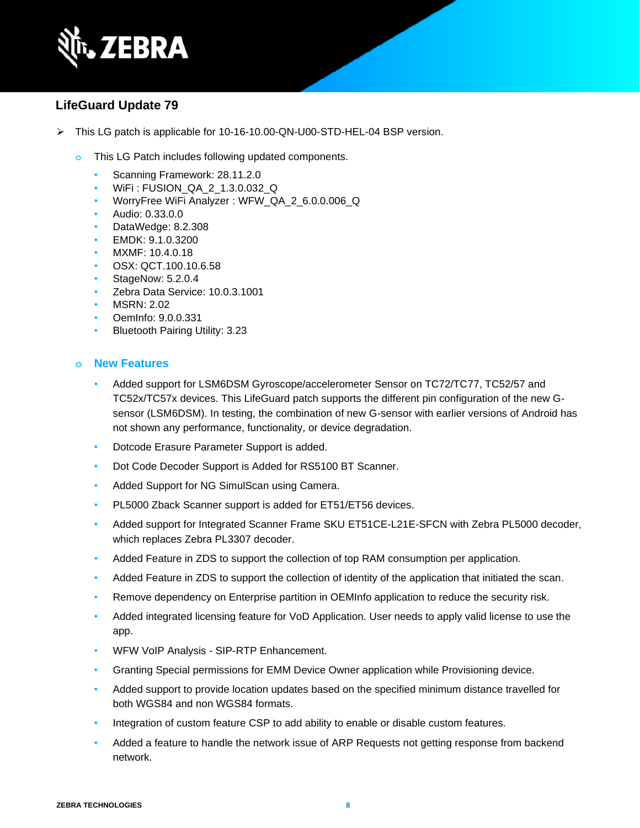

# **LifeGuard Update 79**

- ➢ This LG patch is applicable for 10-16-10.00-QN-U00-STD-HEL-04 BSP version.
	- **o** This LG Patch includes following updated components.
		- Scanning Framework: 28.11.2.0
		- WiFi : FUSION\_QA\_2\_1.3.0.032\_Q
		- WorryFree WiFi Analyzer : WFW\_QA\_2\_6.0.0.006\_Q
		- Audio: 0.33.0.0
		- DataWedge: 8.2.308
		- EMDK: 9.1.0.3200
		- MXMF: 10.4.0.18
		- OSX: QCT.100.10.6.58
		- StageNow: 5.2.0.4
		- Zebra Data Service: 10.0.3.1001
		- MSRN: 2.02
		- OemInfo: 9.0.0.331
		- Bluetooth Pairing Utility: 3.23

#### **o New Features**

- Added support for LSM6DSM Gyroscope/accelerometer Sensor on TC72/TC77, TC52/57 and TC52x/TC57x devices. This LifeGuard patch supports the different pin configuration of the new Gsensor (LSM6DSM). In testing, the combination of new G-sensor with earlier versions of Android has not shown any performance, functionality, or device degradation.
- Dotcode Erasure Parameter Support is added.
- Dot Code Decoder Support is Added for RS5100 BT Scanner.
- Added Support for NG SimulScan using Camera.
- PL5000 Zback Scanner support is added for ET51/ET56 devices.
- Added support for Integrated Scanner Frame SKU ET51CE-L21E-SFCN with Zebra PL5000 decoder, which replaces Zebra PL3307 decoder.
- Added Feature in ZDS to support the collection of top RAM consumption per application.
- Added Feature in ZDS to support the collection of identity of the application that initiated the scan.
- Remove dependency on Enterprise partition in OEMInfo application to reduce the security risk.
- Added integrated licensing feature for VoD Application. User needs to apply valid license to use the app.
- WFW VoIP Analysis SIP-RTP Enhancement.
- Granting Special permissions for EMM Device Owner application while Provisioning device.
- Added support to provide location updates based on the specified minimum distance travelled for both WGS84 and non WGS84 formats.
- Integration of custom feature CSP to add ability to enable or disable custom features.
- Added a feature to handle the network issue of ARP Requests not getting response from backend network.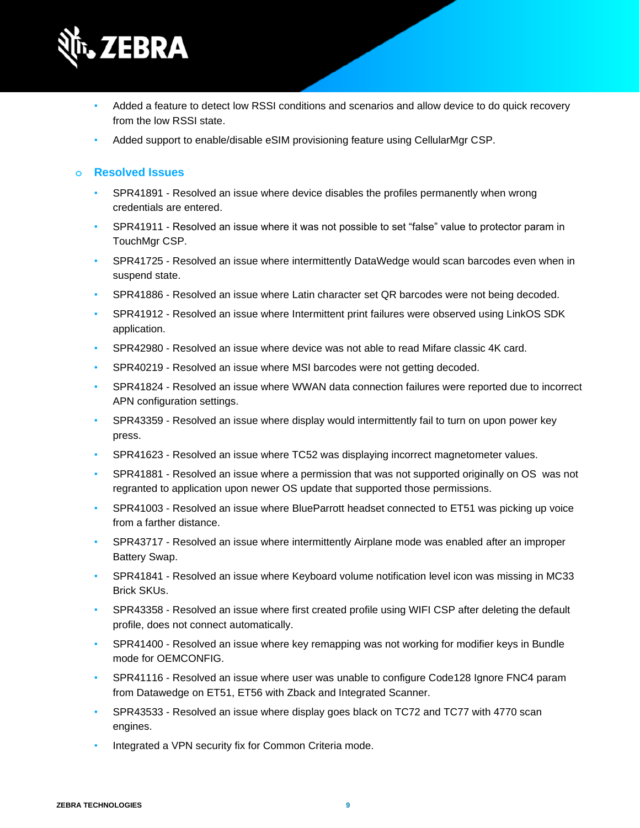

- Added a feature to detect low RSSI conditions and scenarios and allow device to do quick recovery from the low RSSI state.
- Added support to enable/disable eSIM provisioning feature using CellularMgr CSP.

#### **o Resolved Issues**

- SPR41891 Resolved an issue where device disables the profiles permanently when wrong credentials are entered.
- SPR41911 Resolved an issue where it was not possible to set "false" value to protector param in TouchMgr CSP.
- SPR41725 Resolved an issue where intermittently DataWedge would scan barcodes even when in suspend state.
- SPR41886 Resolved an issue where Latin character set QR barcodes were not being decoded.
- SPR41912 Resolved an issue where Intermittent print failures were observed using LinkOS SDK application.
- SPR42980 Resolved an issue where device was not able to read Mifare classic 4K card.
- SPR40219 Resolved an issue where MSI barcodes were not getting decoded.
- SPR41824 Resolved an issue where WWAN data connection failures were reported due to incorrect APN configuration settings.
- SPR43359 Resolved an issue where display would intermittently fail to turn on upon power key press.
- SPR41623 Resolved an issue where TC52 was displaying incorrect magnetometer values.
- SPR41881 Resolved an issue where a permission that was not supported originally on OS was not regranted to application upon newer OS update that supported those permissions.
- SPR41003 Resolved an issue where BlueParrott headset connected to ET51 was picking up voice from a farther distance.
- SPR43717 Resolved an issue where intermittently Airplane mode was enabled after an improper Battery Swap.
- SPR41841 Resolved an issue where Keyboard volume notification level icon was missing in MC33 Brick SKUs.
- SPR43358 Resolved an issue where first created profile using WIFI CSP after deleting the default profile, does not connect automatically.
- SPR41400 Resolved an issue where key remapping was not working for modifier keys in Bundle mode for OEMCONFIG.
- SPR41116 Resolved an issue where user was unable to configure Code128 Ignore FNC4 param from Datawedge on ET51, ET56 with Zback and Integrated Scanner.
- SPR43533 Resolved an issue where display goes black on TC72 and TC77 with 4770 scan engines.
- Integrated a VPN security fix for Common Criteria mode.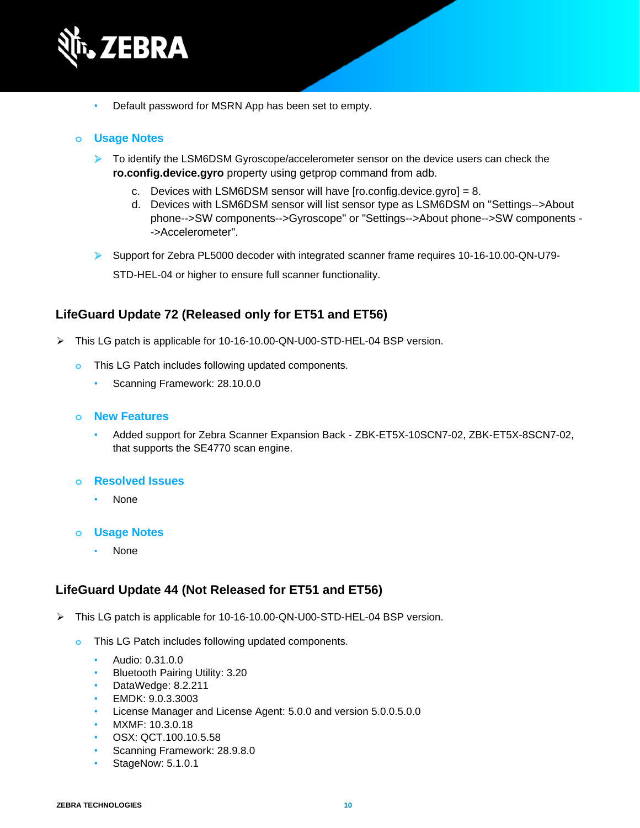

• Default password for MSRN App has been set to empty.

#### **o Usage Notes**

- ➢ To identify the LSM6DSM Gyroscope/accelerometer sensor on the device users can check the **ro.config.device.gyro** property using getprop command from adb.
	- c. Devices with LSM6DSM sensor will have  $[ro.config.device.gyro] = 8$ .
	- d. Devices with LSM6DSM sensor will list sensor type as LSM6DSM on "Settings-->About phone-->SW components-->Gyroscope" or "Settings-->About phone-->SW components - ->Accelerometer".

➢ Support for Zebra PL5000 decoder with integrated scanner frame requires 10-16-10.00-QN-U79- STD-HEL-04 or higher to ensure full scanner functionality.

# **LifeGuard Update 72 (Released only for ET51 and ET56)**

- ➢ This LG patch is applicable for 10-16-10.00-QN-U00-STD-HEL-04 BSP version.
	- **o** This LG Patch includes following updated components.
		- Scanning Framework: 28.10.0.0

#### **o New Features**

• Added support for Zebra Scanner Expansion Back - ZBK-ET5X-10SCN7-02, ZBK-ET5X-8SCN7-02, that supports the SE4770 scan engine.

#### **o Resolved Issues**

• None

#### **o Usage Notes**

• None

# **LifeGuard Update 44 (Not Released for ET51 and ET56)**

- ➢ This LG patch is applicable for 10-16-10.00-QN-U00-STD-HEL-04 BSP version.
	- **o** This LG Patch includes following updated components.
		- Audio: 0.31.0.0
		- Bluetooth Pairing Utility: 3.20
		- DataWedge: 8.2.211
		- EMDK: 9.0.3.3003
		- License Manager and License Agent: 5.0.0 and version 5.0.0.5.0.0
		- MXMF: 10.3.0.18
		- OSX: QCT.100.10.5.58
		- Scanning Framework: 28.9.8.0
		- StageNow: 5.1.0.1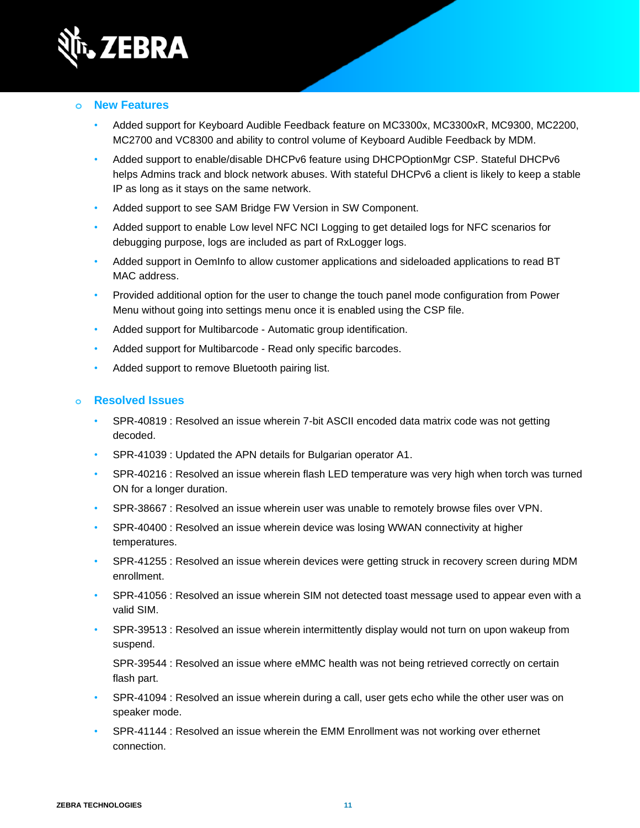

#### **o New Features**

- Added support for Keyboard Audible Feedback feature on MC3300x, MC3300xR, MC9300, MC2200, MC2700 and VC8300 and ability to control volume of Keyboard Audible Feedback by MDM.
- Added support to enable/disable DHCPv6 feature using DHCPOptionMgr CSP. Stateful DHCPv6 helps Admins track and block network abuses. With stateful DHCPv6 a client is likely to keep a stable IP as long as it stays on the same network.
- Added support to see SAM Bridge FW Version in SW Component.
- Added support to enable Low level NFC NCI Logging to get detailed logs for NFC scenarios for debugging purpose, logs are included as part of RxLogger logs.
- Added support in OemInfo to allow customer applications and sideloaded applications to read BT MAC address.
- Provided additional option for the user to change the touch panel mode configuration from Power Menu without going into settings menu once it is enabled using the CSP file.
- Added support for Multibarcode Automatic group identification.
- Added support for Multibarcode Read only specific barcodes.
- Added support to remove Bluetooth pairing list.

#### **o Resolved Issues**

- SPR-40819 : Resolved an issue wherein 7-bit ASCII encoded data matrix code was not getting decoded.
- SPR-41039 : Updated the APN details for Bulgarian operator A1.
- SPR-40216 : Resolved an issue wherein flash LED temperature was very high when torch was turned ON for a longer duration.
- SPR-38667 : Resolved an issue wherein user was unable to remotely browse files over VPN.
- SPR-40400 : Resolved an issue wherein device was losing WWAN connectivity at higher temperatures.
- SPR-41255 : Resolved an issue wherein devices were getting struck in recovery screen during MDM enrollment.
- SPR-41056 : Resolved an issue wherein SIM not detected toast message used to appear even with a valid SIM.
- SPR-39513 : Resolved an issue wherein intermittently display would not turn on upon wakeup from suspend.

SPR-39544 : Resolved an issue where eMMC health was not being retrieved correctly on certain flash part.

- SPR-41094 : Resolved an issue wherein during a call, user gets echo while the other user was on speaker mode.
- SPR-41144 : Resolved an issue wherein the EMM Enrollment was not working over ethernet connection.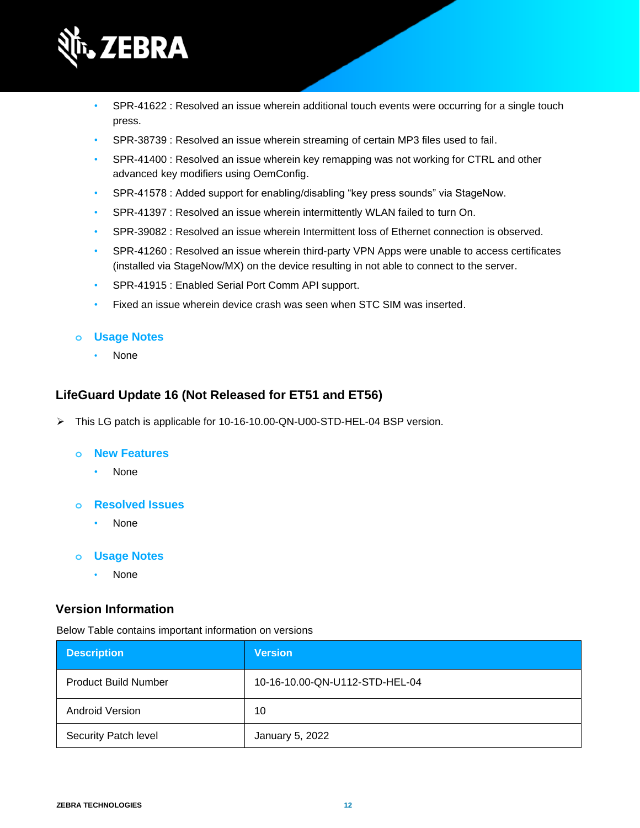

- SPR-41622 : Resolved an issue wherein additional touch events were occurring for a single touch press.
- SPR-38739 : Resolved an issue wherein streaming of certain MP3 files used to fail.
- SPR-41400 : Resolved an issue wherein key remapping was not working for CTRL and other advanced key modifiers using OemConfig.
- SPR-41578 : Added support for enabling/disabling "key press sounds" via StageNow.
- SPR-41397 : Resolved an issue wherein intermittently WLAN failed to turn On.
- SPR-39082 : Resolved an issue wherein Intermittent loss of Ethernet connection is observed.
- SPR-41260 : Resolved an issue wherein third-party VPN Apps were unable to access certificates (installed via StageNow/MX) on the device resulting in not able to connect to the server.
- SPR-41915 : Enabled Serial Port Comm API support.
- Fixed an issue wherein device crash was seen when STC SIM was inserted.

#### **o Usage Notes**

• None

### **LifeGuard Update 16 (Not Released for ET51 and ET56)**

➢ This LG patch is applicable for 10-16-10.00-QN-U00-STD-HEL-04 BSP version.

#### **o New Features**

- None
- **o Resolved Issues**
	- None

#### **o Usage Notes**

• None

#### **Version Information**

Below Table contains important information on versions

| <b>Description</b>          | <b>Version</b>                 |
|-----------------------------|--------------------------------|
| <b>Product Build Number</b> | 10-16-10.00-QN-U112-STD-HEL-04 |
| Android Version             | 10                             |
| Security Patch level        | January 5, 2022                |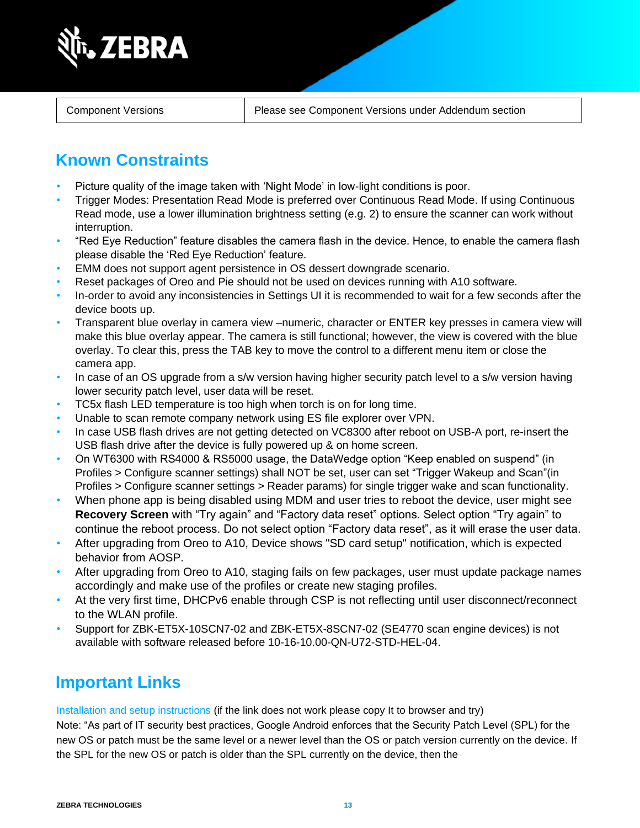

Component Versions **Please see Component Versions under Addendum section** 

# **Known Constraints**

- Picture quality of the image taken with 'Night Mode' in low-light conditions is poor.
- Trigger Modes: Presentation Read Mode is preferred over Continuous Read Mode. If using Continuous Read mode, use a lower illumination brightness setting (e.g. 2) to ensure the scanner can work without interruption.
- "Red Eye Reduction" feature disables the camera flash in the device. Hence, to enable the camera flash please disable the 'Red Eye Reduction' feature.
- EMM does not support agent persistence in OS dessert downgrade scenario.
- Reset packages of Oreo and Pie should not be used on devices running with A10 software.
- In-order to avoid any inconsistencies in Settings UI it is recommended to wait for a few seconds after the device boots up.
- Transparent blue overlay in camera view –numeric, character or ENTER key presses in camera view will make this blue overlay appear. The camera is still functional; however, the view is covered with the blue overlay. To clear this, press the TAB key to move the control to a different menu item or close the camera app.
- In case of an OS upgrade from a s/w version having higher security patch level to a s/w version having lower security patch level, user data will be reset.
- TC5x flash LED temperature is too high when torch is on for long time.
- Unable to scan remote company network using ES file explorer over VPN.
- In case USB flash drives are not getting detected on VC8300 after reboot on USB-A port, re-insert the USB flash drive after the device is fully powered up & on home screen.
- On WT6300 with RS4000 & RS5000 usage, the DataWedge option "Keep enabled on suspend" (in Profiles > Configure scanner settings) shall NOT be set, user can set "Trigger Wakeup and Scan"(in Profiles > Configure scanner settings > Reader params) for single trigger wake and scan functionality.
- When phone app is being disabled using MDM and user tries to reboot the device, user might see **Recovery Screen** with "Try again" and "Factory data reset" options. Select option "Try again" to continue the reboot process. Do not select option "Factory data reset", as it will erase the user data.
- After upgrading from Oreo to A10, Device shows "SD card setup" notification, which is expected behavior from AOSP.
- After upgrading from Oreo to A10, staging fails on few packages, user must update package names accordingly and make use of the profiles or create new staging profiles.
- At the very first time, DHCPv6 enable through CSP is not reflecting until user disconnect/reconnect to the WLAN profile.
- Support for ZBK-ET5X-10SCN7-02 and ZBK-ET5X-8SCN7-02 (SE4770 scan engine devices) is not available with software released before 10-16-10.00-QN-U72-STD-HEL-04.

# **Important Links**

[Installation and setup instructions](https://www.zebra.com/content/dam/zebra_new_ia/en-us/software/operating-system/helios/a10-os-update-instructions.pdf) (if the link does not work please copy It to browser and try)

Note: "As part of IT security best practices, Google Android enforces that the Security Patch Level (SPL) for the new OS or patch must be the same level or a newer level than the OS or patch version currently on the device. If the SPL for the new OS or patch is older than the SPL currently on the device, then the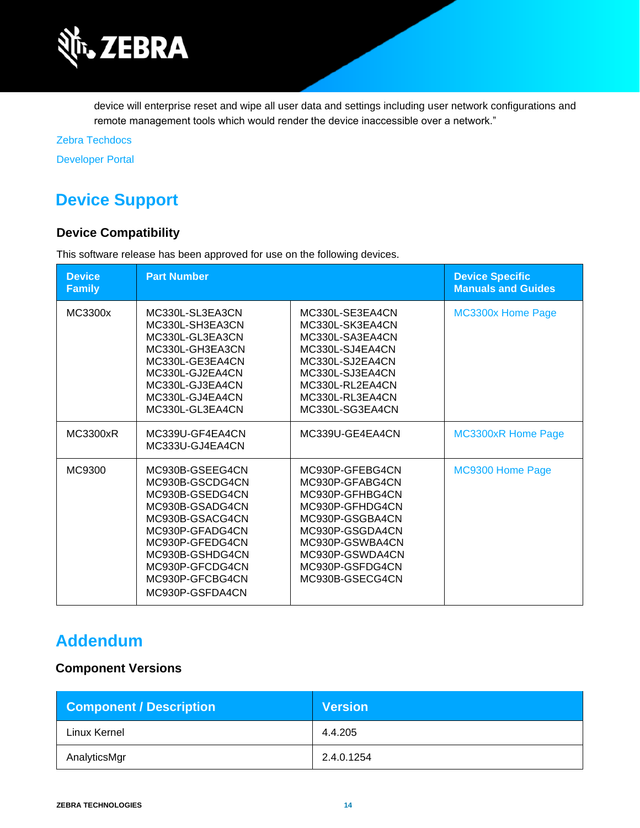

device will enterprise reset and wipe all user data and settings including user network configurations and remote management tools which would render the device inaccessible over a network."

[Zebra Techdocs](http://techdocs.zebra.com/)

[Developer Portal](http://developer.zebra.com/)

# **Device Support**

# **Device Compatibility**

This software release has been approved for use on the following devices.

| <b>Device</b><br><b>Family</b> | <b>Part Number</b>                                                                                                                                                                                            |                                                                                                                                                                                            | <b>Device Specific</b><br><b>Manuals and Guides</b> |
|--------------------------------|---------------------------------------------------------------------------------------------------------------------------------------------------------------------------------------------------------------|--------------------------------------------------------------------------------------------------------------------------------------------------------------------------------------------|-----------------------------------------------------|
| MC3300x                        | MC330L-SL3EA3CN<br>MC330L-SH3EA3CN<br>MC330L-GL3EA3CN<br>MC330L-GH3EA3CN<br>MC330L-GE3EA4CN<br>MC330L-GJ2EA4CN<br>MC330L-GJ3EA4CN<br>MC330L-GJ4EA4CN<br>MC330L-GL3EA4CN                                       | MC330L-SE3EA4CN<br>MC330L-SK3EA4CN<br>MC330L-SA3EA4CN<br>MC330L-SJ4EA4CN<br>MC330L-SJ2EA4CN<br>MC330L-SJ3EA4CN<br>MC330L-RL2EA4CN<br>MC330L-RL3EA4CN<br>MC330L-SG3EA4CN                    | MC3300x Home Page                                   |
| <b>MC3300xR</b>                | MC339U-GF4EA4CN<br>MC333U-GJ4EA4CN                                                                                                                                                                            | MC339U-GE4EA4CN                                                                                                                                                                            | <b>MC3300xR Home Page</b>                           |
| MC9300                         | MC930B-GSEEG4CN<br>MC930B-GSCDG4CN<br>MC930B-GSEDG4CN<br>MC930B-GSADG4CN<br>MC930B-GSACG4CN<br>MC930P-GFADG4CN<br>MC930P-GFEDG4CN<br>MC930B-GSHDG4CN<br>MC930P-GFCDG4CN<br>MC930P-GFCBG4CN<br>MC930P-GSFDA4CN | MC930P-GFEBG4CN<br>MC930P-GFABG4CN<br>MC930P-GFHBG4CN<br>MC930P-GFHDG4CN<br>MC930P-GSGBA4CN<br>MC930P-GSGDA4CN<br>MC930P-GSWBA4CN<br>MC930P-GSWDA4CN<br>MC930P-GSFDG4CN<br>MC930B-GSECG4CN | MC9300 Home Page                                    |

# **Addendum**

### **Component Versions**

| <b>Component / Description</b> | <b>Version</b> |
|--------------------------------|----------------|
| Linux Kernel                   | 4.4.205        |
| AnalyticsMgr                   | 2.4.0.1254     |